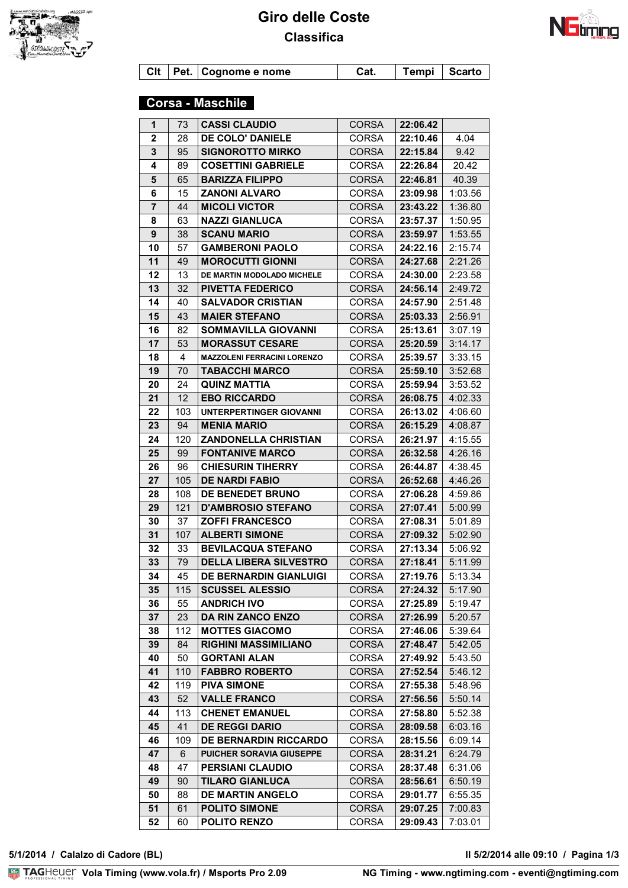



**Clt Pet. Cognome e nome Cat. Tempi Scarto**

# **Corsa - Maschile**

| 1            | 73        | <b>CASSI CLAUDIO</b>                               | <b>CORSA</b>                 | 22:06.42             |                    |
|--------------|-----------|----------------------------------------------------|------------------------------|----------------------|--------------------|
| $\mathbf{2}$ | 28        | DE COLO' DANIELE                                   | <b>CORSA</b>                 | 22:10.46             | 4.04               |
| 3            | 95        | <b>SIGNOROTTO MIRKO</b>                            | <b>CORSA</b>                 | 22:15.84             | 9.42               |
| 4            | 89        | <b>COSETTINI GABRIELE</b>                          | <b>CORSA</b>                 | 22:26.84             | 20.42              |
| ${\bf 5}$    | 65        | <b>BARIZZA FILIPPO</b>                             | <b>CORSA</b>                 | 22:46.81             | 40.39              |
| 6            | 15        | <b>ZANONI ALVARO</b>                               | <b>CORSA</b>                 | 23:09.98             | 1:03.56            |
| 7            | 44        | <b>MICOLI VICTOR</b>                               | <b>CORSA</b>                 | 23:43.22             | 1:36.80            |
| 8            | 63        | <b>NAZZI GIANLUCA</b>                              | <b>CORSA</b>                 | 23:57.37             | 1:50.95            |
| 9            | 38        | <b>SCANU MARIO</b>                                 | <b>CORSA</b>                 | 23:59.97             | 1:53.55            |
| 10           | 57        | <b>GAMBERONI PAOLO</b>                             | <b>CORSA</b>                 | 24:22.16             | 2:15.74            |
| 11           | 49        | <b>MOROCUTTI GIONNI</b>                            | <b>CORSA</b>                 | 24:27.68             | 2:21.26            |
| 12           | 13        | DE MARTIN MODOLADO MICHELE                         | <b>CORSA</b>                 | 24:30.00             | 2:23.58            |
| 13           | 32        | <b>PIVETTA FEDERICO</b>                            | <b>CORSA</b>                 | 24:56.14             | 2:49.72            |
| 14           | 40        | <b>SALVADOR CRISTIAN</b>                           | <b>CORSA</b>                 | 24:57.90             | 2:51.48            |
| 15           | 43        | <b>MAIER STEFANO</b>                               | <b>CORSA</b>                 | 25:03.33             | 2:56.91            |
| 16           | 82        | <b>SOMMAVILLA GIOVANNI</b>                         | <b>CORSA</b>                 | 25:13.61             | 3:07.19            |
| 17           | 53        | <b>MORASSUT CESARE</b>                             | <b>CORSA</b>                 | 25:20.59             | 3:14.17            |
| 18           | 4         | <b>MAZZOLENI FERRACINI LORENZO</b>                 | <b>CORSA</b>                 | 25:39.57             | 3:33.15            |
| 19           | 70        | <b>TABACCHI MARCO</b>                              | <b>CORSA</b>                 | 25:59.10             | 3:52.68            |
| 20           | 24        | <b>QUINZ MATTIA</b>                                | <b>CORSA</b>                 | 25:59.94             | 3:53.52            |
| 21           | 12        | <b>EBO RICCARDO</b>                                | <b>CORSA</b>                 | 26:08.75             | 4:02.33            |
| 22           | 103       | UNTERPERTINGER GIOVANNI                            | <b>CORSA</b>                 | 26:13.02             | 4:06.60            |
| 23           | 94        | <b>MENIA MARIO</b>                                 | <b>CORSA</b>                 | 26:15.29             | 4:08.87            |
| 24           | 120       | <b>ZANDONELLA CHRISTIAN</b>                        | CORSA                        | 26:21.97             | 4:15.55            |
| 25           | 99        | <b>FONTANIVE MARCO</b>                             | <b>CORSA</b>                 | 26:32.58             | 4:26.16            |
| 26           | 96        | <b>CHIESURIN TIHERRY</b>                           | <b>CORSA</b>                 | 26:44.87             | 4:38.45            |
| 27           | 105       | <b>DE NARDI FABIO</b>                              | <b>CORSA</b>                 | 26:52.68             | 4:46.26            |
| 28           | 108       | DE BENEDET BRUNO                                   | <b>CORSA</b>                 | 27:06.28             | 4:59.86            |
| 29           | 121       | <b>D'AMBROSIO STEFANO</b>                          | <b>CORSA</b>                 | 27:07.41             | 5:00.99            |
| 30           | 37        | <b>ZOFFI FRANCESCO</b>                             | <b>CORSA</b>                 | 27:08.31             | 5:01.89            |
| 31           | 107       | <b>ALBERTI SIMONE</b>                              | <b>CORSA</b>                 | 27:09.32             | 5:02.90            |
| 32           | 33        | <b>BEVILACQUA STEFANO</b>                          | <b>CORSA</b>                 | 27:13.34             | 5:06.92            |
| 33           | 79        | <b>DELLA LIBERA SILVESTRO</b>                      | <b>CORSA</b>                 | 27:18.41             | 5:11.99            |
| 34           | 45        | <b>DE BERNARDIN GIANLUIGI</b>                      | <b>CORSA</b>                 | 27:19.76             | 5:13.34            |
| 35           | 115       | <b>SCUSSEL ALESSIO</b>                             | <b>CORSA</b>                 | 27:24.32 5:17.90     |                    |
| 36           | 55        | <b>ANDRICH IVO</b>                                 | <b>CORSA</b>                 | 27:25.89             | 5:19.47            |
| 37           | 23        | <b>DA RIN ZANCO ENZO</b>                           | CORSA                        | 27:26.99             | 5:20.57            |
| 38           | 112       | <b>MOTTES GIACOMO</b>                              | <b>CORSA</b>                 | 27:46.06             | 5:39.64            |
| 39           | 84        | <b>RIGHINI MASSIMILIANO</b><br><b>GORTANI ALAN</b> | <b>CORSA</b>                 | 27:48.47<br>27:49.92 | 5:42.05            |
| 40<br>41     | 50<br>110 | <b>FABBRO ROBERTO</b>                              | <b>CORSA</b><br><b>CORSA</b> | 27:52.54             | 5:43.50<br>5:46.12 |
| 42           | 119       | <b>PIVA SIMONE</b>                                 | <b>CORSA</b>                 | 27:55.38             | 5:48.96            |
| 43           | 52        | <b>VALLE FRANCO</b>                                | CORSA                        | 27:56.56             | 5:50.14            |
| 44           | 113       | <b>CHENET EMANUEL</b>                              | <b>CORSA</b>                 | 27:58.80             | 5:52.38            |
| 45           | 41        | <b>DE REGGI DARIO</b>                              | <b>CORSA</b>                 | 28:09.58             | 6:03.16            |
| 46           | 109       | <b>DE BERNARDIN RICCARDO</b>                       | CORSA                        | 28:15.56             | 6:09.14            |
| 47           | 6         | PUICHER SORAVIA GIUSEPPE                           | <b>CORSA</b>                 | 28:31.21             | 6:24.79            |
| 48           | 47        | <b>PERSIANI CLAUDIO</b>                            | <b>CORSA</b>                 | 28:37.48             | 6:31.06            |
| 49           | 90        | <b>TILARO GIANLUCA</b>                             | <b>CORSA</b>                 | 28:56.61             | 6:50.19            |
| 50           | 88        | <b>DE MARTIN ANGELO</b>                            | CORSA                        | 29:01.77             | 6:55.35            |
| 51           |           | <b>POLITO SIMONE</b>                               | <b>CORSA</b>                 | 29:07.25             | 7:00.83            |
|              | 61        |                                                    |                              |                      |                    |

**VolaSoftControlPdf 5/1/2014 / Calalzo di Cadore (BL) Il 5/2/2014 alle 09:10 / Pagina 1/3**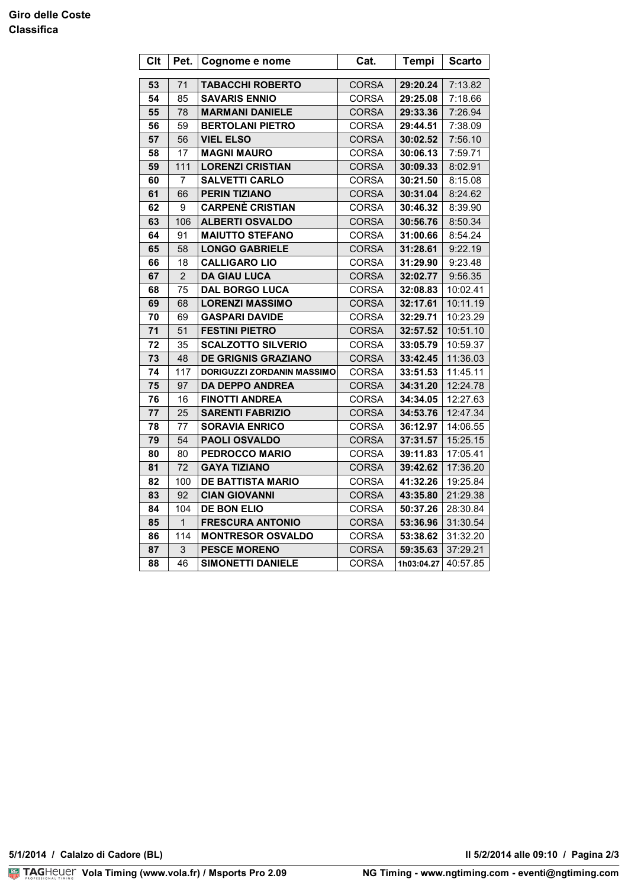### **Giro delle Coste Classifica**

| <b>Clt</b> | Pet.           | Cognome e nome             | Cat.                  | <b>Tempi</b> | <b>Scarto</b> |
|------------|----------------|----------------------------|-----------------------|--------------|---------------|
| 53         | 71             | <b>TABACCHI ROBERTO</b>    | <b>CORSA</b>          | 29:20.24     | 7:13.82       |
|            |                | <b>SAVARIS ENNIO</b>       |                       | 29:25.08     | 7:18.66       |
| 54<br>55   | 85             |                            | CORSA<br><b>CORSA</b> | 29:33.36     | 7:26.94       |
|            | 78             | <b>MARMANI DANIELE</b>     |                       |              |               |
| 56         | 59             | <b>BERTOLANI PIETRO</b>    | CORSA                 | 29:44.51     | 7:38.09       |
| 57         | 56             | <b>VIEL ELSO</b>           | <b>CORSA</b>          | 30:02.52     | 7:56.10       |
| 58         | 17             | <b>MAGNI MAURO</b>         | <b>CORSA</b>          | 30:06.13     | 7:59.71       |
| 59         | 111            | <b>LORENZI CRISTIAN</b>    | <b>CORSA</b>          | 30:09.33     | 8:02.91       |
| 60         | 7              | <b>SALVETTI CARLO</b>      | <b>CORSA</b>          | 30:21.50     | 8:15.08       |
| 61         | 66             | <b>PERIN TIZIANO</b>       | <b>CORSA</b>          | 30:31.04     | 8:24.62       |
| 62         | 9              | <b>CARPENÈ CRISTIAN</b>    | CORSA                 | 30:46.32     | 8:39.90       |
| 63         | 106            | <b>ALBERTI OSVALDO</b>     | <b>CORSA</b>          | 30:56.76     | 8:50.34       |
| 64         | 91             | <b>MAIUTTO STEFANO</b>     | <b>CORSA</b>          | 31:00.66     | 8:54.24       |
| 65         | 58             | <b>LONGO GABRIELE</b>      | <b>CORSA</b>          | 31:28.61     | 9:22.19       |
| 66         | 18             | <b>CALLIGARO LIO</b>       | CORSA                 | 31:29.90     | 9:23.48       |
| 67         | $\overline{2}$ | <b>DA GIAU LUCA</b>        | <b>CORSA</b>          | 32:02.77     | 9:56.35       |
| 68         | 75             | <b>DAL BORGO LUCA</b>      | CORSA                 | 32:08.83     | 10:02.41      |
| 69         | 68             | <b>LORENZI MASSIMO</b>     | <b>CORSA</b>          | 32:17.61     | 10:11.19      |
| 70         | 69             | <b>GASPARI DAVIDE</b>      | CORSA                 | 32:29.71     | 10:23.29      |
| 71         | 51             | <b>FESTINI PIETRO</b>      | <b>CORSA</b>          | 32:57.52     | 10:51.10      |
| 72         | 35             | <b>SCALZOTTO SILVERIO</b>  | <b>CORSA</b>          | 33:05.79     | 10:59.37      |
| 73         | 48             | <b>DE GRIGNIS GRAZIANO</b> | <b>CORSA</b>          | 33:42.45     | 11:36.03      |
| 74         | 117            | DORIGUZZI ZORDANIN MASSIMO | <b>CORSA</b>          | 33:51.53     | 11:45.11      |
| 75         | 97             | <b>DA DEPPO ANDREA</b>     | <b>CORSA</b>          | 34:31.20     | 12:24.78      |
| 76         | 16             | <b>FINOTTI ANDREA</b>      | CORSA                 | 34:34.05     | 12:27.63      |
| 77         | 25             | <b>SARENTI FABRIZIO</b>    | <b>CORSA</b>          | 34:53.76     | 12:47.34      |
| 78         | 77             | <b>SORAVIA ENRICO</b>      | <b>CORSA</b>          | 36:12.97     | 14:06.55      |
| 79         | 54             | <b>PAOLI OSVALDO</b>       | <b>CORSA</b>          | 37:31.57     | 15:25.15      |
| 80         | 80             | <b>PEDROCCO MARIO</b>      | CORSA                 | 39:11.83     | 17:05.41      |
| 81         | 72             | <b>GAYA TIZIANO</b>        | <b>CORSA</b>          | 39:42.62     | 17:36.20      |
| 82         | 100            | <b>DE BATTISTA MARIO</b>   | CORSA                 | 41:32.26     | 19:25.84      |
| 83         | 92             | <b>CIAN GIOVANNI</b>       | <b>CORSA</b>          | 43:35.80     | 21:29.38      |
| 84         | 104            | <b>DE BON ELIO</b>         | CORSA                 | 50:37.26     | 28:30.84      |
| 85         | $\mathbf{1}$   | <b>FRESCURA ANTONIO</b>    | <b>CORSA</b>          | 53:36.96     | 31:30.54      |
| 86         | 114            | <b>MONTRESOR OSVALDO</b>   | CORSA                 | 53:38.62     | 31:32.20      |
| 87         | 3              | <b>PESCE MORENO</b>        | <b>CORSA</b>          | 59:35.63     | 37:29.21      |
| 88         | 46             | <b>SIMONETTI DANIELE</b>   | <b>CORSA</b>          | 1h03:04.27   | 40:57.85      |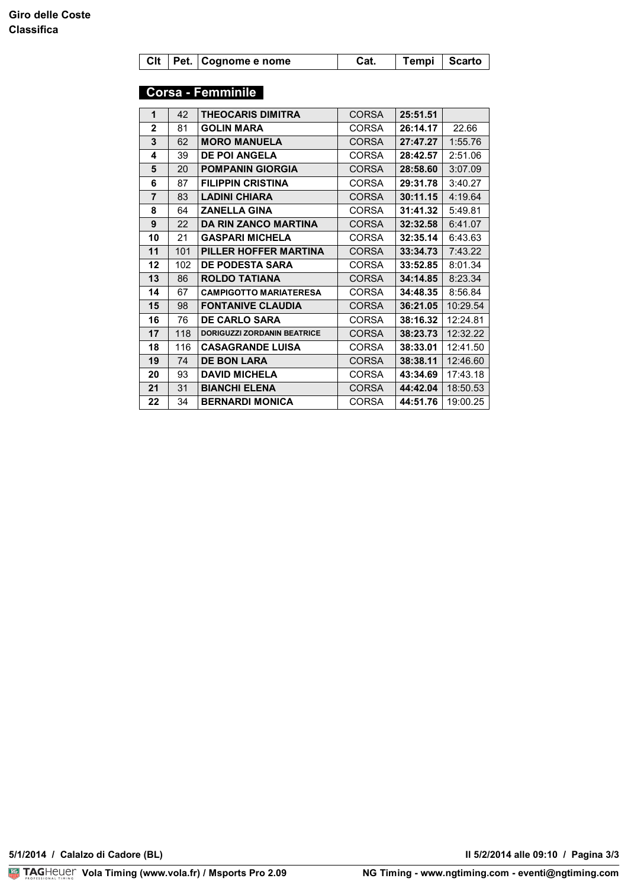|  | Clt Pet. Cognome e nome | Cat. | Tempi   Scarto |  |
|--|-------------------------|------|----------------|--|
|  |                         |      |                |  |

### **Corsa - Femminile**

| 1              | 42  | <b>THEOCARIS DIMITRA</b>           | <b>CORSA</b> | 25:51.51 |          |
|----------------|-----|------------------------------------|--------------|----------|----------|
| $\mathbf{2}$   | 81  | <b>GOLIN MARA</b>                  | <b>CORSA</b> | 26:14.17 | 22.66    |
| 3              | 62  | <b>MORO MANUELA</b>                | <b>CORSA</b> | 27:47.27 | 1:55.76  |
| 4              | 39  | <b>DE POI ANGELA</b>               | <b>CORSA</b> | 28:42.57 | 2:51.06  |
| 5              | 20  | <b>POMPANIN GIORGIA</b>            | <b>CORSA</b> | 28:58.60 | 3:07.09  |
| 6              | 87  | <b>FILIPPIN CRISTINA</b>           | <b>CORSA</b> | 29:31.78 | 3:40.27  |
| $\overline{7}$ | 83  | <b>LADINI CHIARA</b>               | <b>CORSA</b> | 30:11.15 | 4:19.64  |
| 8              | 64  | <b>ZANELLA GINA</b>                | <b>CORSA</b> | 31:41.32 | 5:49.81  |
| 9              | 22  | <b>DA RIN ZANCO MARTINA</b>        | <b>CORSA</b> | 32:32.58 | 6:41.07  |
| 10             | 21  | <b>GASPARI MICHELA</b>             | CORSA        | 32:35.14 | 6:43.63  |
| 11             | 101 | PILLER HOFFER MARTINA              | <b>CORSA</b> | 33:34.73 | 7:43.22  |
| 12             | 102 | <b>DE PODESTA SARA</b>             | <b>CORSA</b> | 33:52.85 | 8:01.34  |
| 13             | 86  | <b>ROLDO TATIANA</b>               | <b>CORSA</b> | 34:14.85 | 8:23.34  |
| 14             | 67  | <b>CAMPIGOTTO MARIATERESA</b>      | <b>CORSA</b> | 34:48.35 | 8:56.84  |
| 15             | 98  | <b>FONTANIVE CLAUDIA</b>           | <b>CORSA</b> | 36:21.05 | 10:29.54 |
| 16             | 76  | <b>DE CARLO SARA</b>               | <b>CORSA</b> | 38:16.32 | 12:24.81 |
| 17             | 118 | <b>DORIGUZZI ZORDANIN BEATRICE</b> | <b>CORSA</b> | 38:23.73 | 12:32.22 |
| 18             | 116 | <b>CASAGRANDE LUISA</b>            | <b>CORSA</b> | 38:33.01 | 12:41.50 |
| 19             | 74  | <b>DE BON LARA</b>                 | <b>CORSA</b> | 38:38.11 | 12:46.60 |
| 20             | 93  | <b>DAVID MICHELA</b>               | CORSA        | 43:34.69 | 17:43.18 |
| 21             | 31  | <b>BIANCHI ELENA</b>               | <b>CORSA</b> | 44:42.04 | 18:50.53 |
| 22             | 34  | <b>BERNARDI MONICA</b>             | CORSA        | 44:51.76 | 19:00.25 |

**5/1/2014 / Calalzo di Cadore (BL) Il 5/2/2014 alle 09:10 / Pagina 3/3**

**II 5/2/2014 alle 09:10 / Pagina 3/3**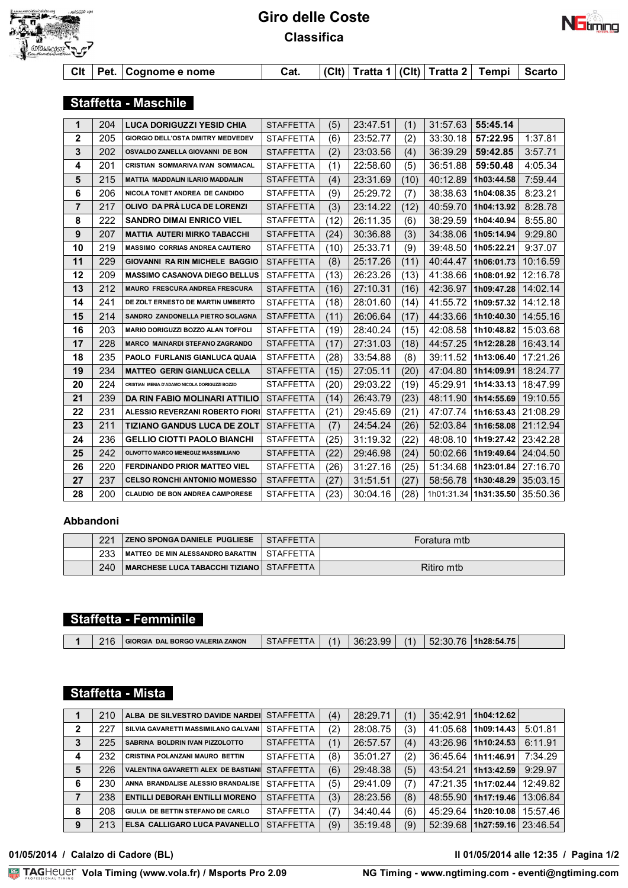

# **Giro delle Coste Classifica**



**Clt Pet. Cognome e nome Cat. (Clt) Tratta 1 (Clt) Tratta 2 Tempi Scarto**

### **Staffetta - Maschile**

| 1              | 204 | <b>LUCA DORIGUZZI YESID CHIA</b>              | <b>STAFFETTA</b> | (5)  | 23:47.51 | (1)  | 31:57.63   | 55:45.14   |          |
|----------------|-----|-----------------------------------------------|------------------|------|----------|------|------------|------------|----------|
| $\mathbf{2}$   | 205 | <b>GIORGIO DELL'OSTA DMITRY MEDVEDEV</b>      | <b>STAFFETTA</b> | (6)  | 23:52.77 | (2)  | 33:30.18   | 57:22.95   | 1:37.81  |
| 3              | 202 | OSVALDO ZANELLA GIOVANNI DE BON               | <b>STAFFETTA</b> | (2)  | 23:03.56 | (4)  | 36:39.29   | 59:42.85   | 3:57.71  |
| 4              | 201 | <b>CRISTIAN SOMMARIVA IVAN SOMMACAL</b>       | <b>STAFFETTA</b> | (1)  | 22:58.60 | (5)  | 36:51.88   | 59:50.48   | 4:05.34  |
| 5              | 215 | <b>MATTIA MADDALIN ILARIO MADDALIN</b>        | <b>STAFFETTA</b> | (4)  | 23:31.69 | (10) | 40:12.89   | 1h03:44.58 | 7:59.44  |
| 6              | 206 | NICOLA TONET ANDREA DE CANDIDO                | <b>STAFFETTA</b> | (9)  | 25:29.72 | (7)  | 38:38.63   | 1h04:08.35 | 8:23.21  |
| $\overline{7}$ | 217 | OLIVO DA PRÀ LUCA DE LORENZI                  | <b>STAFFETTA</b> | (3)  | 23:14.22 | (12) | 40:59.70   | 1h04:13.92 | 8:28.78  |
| 8              | 222 | <b>SANDRO DIMAI ENRICO VIEL</b>               | <b>STAFFETTA</b> | (12) | 26:11.35 | (6)  | 38:29.59   | 1h04:40.94 | 8:55.80  |
| 9              | 207 | <b>MATTIA AUTERI MIRKO TABACCHI</b>           | <b>STAFFETTA</b> | (24) | 30:36.88 | (3)  | 34:38.06   | 1h05:14.94 | 9:29.80  |
| 10             | 219 | <b>MASSIMO CORRIAS ANDREA CAUTIERO</b>        | <b>STAFFETTA</b> | (10) | 25:33.71 | (9)  | 39:48.50   | 1h05:22.21 | 9:37.07  |
| 11             | 229 | GIOVANNI RA RIN MICHELE BAGGIO                | <b>STAFFETTA</b> | (8)  | 25:17.26 | (11) | 40:44.47   | 1h06:01.73 | 10:16.59 |
| 12             | 209 | <b>MASSIMO CASANOVA DIEGO BELLUS</b>          | <b>STAFFETTA</b> | (13) | 26:23.26 | (13) | 41:38.66   | 1h08:01.92 | 12:16.78 |
| 13             | 212 | <b>MAURO FRESCURA ANDREA FRESCURA</b>         | <b>STAFFETTA</b> | (16) | 27:10.31 | (16) | 42:36.97   | 1h09:47.28 | 14:02.14 |
| 14             | 241 | DE ZOLT ERNESTO DE MARTIN UMBERTO             | <b>STAFFETTA</b> | (18) | 28:01.60 | (14) | 41:55.72   | 1h09:57.32 | 14:12.18 |
| 15             | 214 | SANDRO ZANDONELLA PIETRO SOLAGNA              | <b>STAFFETTA</b> | (11) | 26:06.64 | (17) | 44:33.66   | 1h10:40.30 | 14:55.16 |
| 16             | 203 | <b>MARIO DORIGUZZI BOZZO ALAN TOFFOLI</b>     | <b>STAFFETTA</b> | (19) | 28:40.24 | (15) | 42:08.58   | 1h10:48.82 | 15:03.68 |
| 17             | 228 | <b>MARCO MAINARDI STEFANO ZAGRANDO</b>        | <b>STAFFETTA</b> | (17) | 27:31.03 | (18) | 44:57.25   | 1h12:28.28 | 16:43.14 |
| 18             | 235 | PAOLO FURLANIS GIANLUCA QUAIA                 | <b>STAFFETTA</b> | (28) | 33:54.88 | (8)  | 39:11.52   | 1h13:06.40 | 17:21.26 |
| 19             | 234 | <b>MATTEO GERIN GIANLUCA CELLA</b>            | <b>STAFFETTA</b> | (15) | 27:05.11 | (20) | 47:04.80   | 1h14:09.91 | 18:24.77 |
| 20             | 224 | CRISTIAN MENIA D'ADAMO NICOLA DORIGUZZI BOZZO | <b>STAFFETTA</b> | (20) | 29:03.22 | (19) | 45:29.91   | 1h14:33.13 | 18:47.99 |
| 21             | 239 | DA RIN FABIO MOLINARI ATTILIO                 | <b>STAFFETTA</b> | (14) | 26:43.79 | (23) | 48:11.90   | 1h14:55.69 | 19:10.55 |
| 22             | 231 | ALESSIO REVERZANI ROBERTO FIORI               | <b>STAFFETTA</b> | (21) | 29:45.69 | (21) | 47:07.74   | 1h16:53.43 | 21:08.29 |
| 23             | 211 | <b>TIZIANO GANDUS LUCA DE ZOLT</b>            | <b>STAFFETTA</b> | (7)  | 24:54.24 | (26) | 52:03.84   | 1h16:58.08 | 21.12.94 |
| 24             | 236 | <b>GELLIO CIOTTI PAOLO BIANCHI</b>            | <b>STAFFETTA</b> | (25) | 31:19.32 | (22) | 48:08.10   | 1h19:27.42 | 23:42.28 |
| 25             | 242 | OLIVOTTO MARCO MENEGUZ MASSIMILIANO           | <b>STAFFETTA</b> | (22) | 29:46.98 | (24) | 50:02.66   | 1h19:49.64 | 24:04.50 |
| 26             | 220 | <b>FERDINANDO PRIOR MATTEO VIEL</b>           | <b>STAFFETTA</b> | (26) | 31:27.16 | (25) | 51:34.68   | 1h23:01.84 | 27:16.70 |
| 27             | 237 | <b>CELSO RONCHI ANTONIO MOMESSO</b>           | <b>STAFFETTA</b> | (27) | 31:51.51 | (27) | 58:56.78   | 1h30:48.29 | 35:03.15 |
| 28             | 200 | <b>CLAUDIO DE BON ANDREA CAMPORESE</b>        | <b>STAFFETTA</b> | (23) | 30:04.16 | (28) | 1h01:31.34 | 1h31:35.50 | 35:50.36 |

### **Abbandoni**

| 221 | <b>ZENO SPONGA DANIELE PUGLIESE   STAFFETTA</b> | Foratura mtb |
|-----|-------------------------------------------------|--------------|
| 233 | MATTEO DE MIN ALESSANDRO BARATTIN I STAFFETTA   |              |
| 240 | MARCHESE LUCA TABACCHI TIZIANO STAFFETTA        | Ritiro mtb   |

# **Staffetta - Femminile**

| $\mathcal{L}$<br>வட<br>- - |  | 216 | GIORGIA DAL BORGO VALERIA ZANON | $\mathbf{v}$ | (1) | <b>QQ</b><br>36.23. | (1) | $\overline{ }$ | 1h28:54.75 |  |
|----------------------------|--|-----|---------------------------------|--------------|-----|---------------------|-----|----------------|------------|--|
|----------------------------|--|-----|---------------------------------|--------------|-----|---------------------|-----|----------------|------------|--|

### **Staffetta - Mista**

|   | 210 | ALBA DE SILVESTRO DAVIDE NARDEI             | <b>STAFFETTA</b> | (4) | 28:29.71 | (1) | 35:42.91 | 1h04:12.62 |          |
|---|-----|---------------------------------------------|------------------|-----|----------|-----|----------|------------|----------|
| 2 | 227 | SILVIA GAVARETTI MASSIMILANO GALVANI        | <b>STAFFETTA</b> | (2) | 28:08.75 | (3) | 41:05.68 | 1h09:14.43 | 5:01.81  |
| 3 | 225 | SABRINA BOLDRIN IVAN PIZZOLOTTO             | <b>STAFFETTA</b> | (1) | 26:57.57 | (4) | 43:26.96 | 1h10:24.53 | 6:11.91  |
| 4 | 232 | <b>CRISTINA POLANZANI MAURO BETTIN</b>      | <b>STAFFETTA</b> | (8) | 35:01.27 | (2) | 36:45.64 | 1h11:46.91 | 7:34.29  |
| 5 | 226 | <b>VALENTINA GAVARETTI ALEX DE BASTIANI</b> | <b>STAFFETTA</b> | (6) | 29:48.38 | (5) | 43:54.21 | 1h13:42.59 | 9:29.97  |
| 6 | 230 | ANNA BRANDALISE ALESSIO BRANDALISE          | <b>STAFFETTA</b> | (5) | 29:41.09 | (7) | 47:21.35 | 1h17:02.44 | 12:49.82 |
|   | 238 | <b>ENTILLI DEBORAH ENTILLI MORENO</b>       | <b>STAFFETTA</b> | (3) | 28:23.56 | (8) | 48:55.90 | 1h17:19.46 | 13:06.84 |
| 8 | 208 | GIULIA DE BETTIN STEFANO DE CARLO           | <b>STAFFETTA</b> | (7) | 34:40.44 | (6) | 45:29.64 | 1h20:10.08 | 15:57.46 |
| 9 | 213 | ELSA CALLIGARO LUCA PAVANELLO               | <b>STAFFETTA</b> | (9) | 35:19.48 | (9) | 52:39.68 | 1h27:59.16 | 23:46.54 |

### **VolaSoftControlPdf 01/05/2014 / Calalzo di Cadore (BL) Il 01/05/2014 alle 12:35 / Pagina 1/2**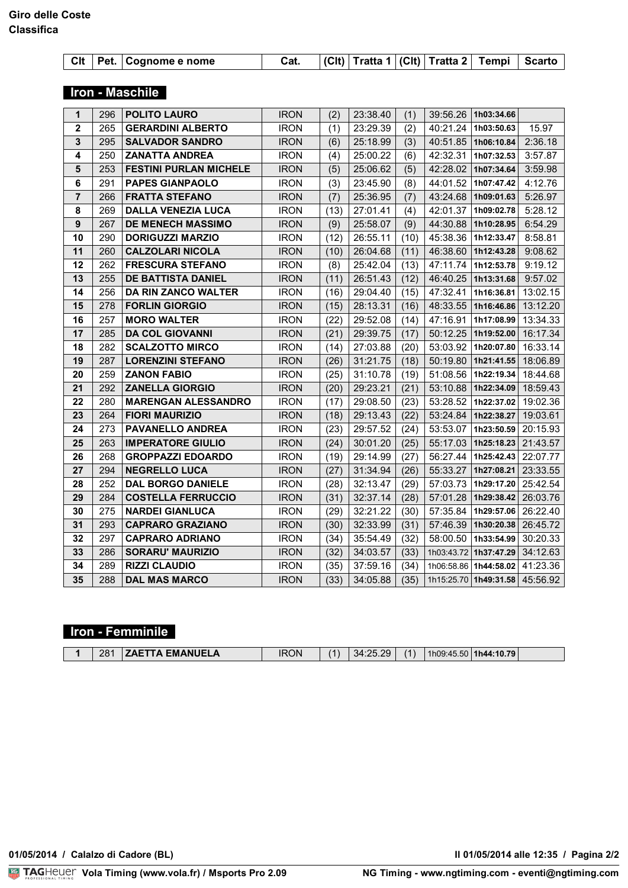|  | Cat. $ (C t) $ Tratta 1 $ C t $ Tratta 2 Tempi Scarto  <br>Clt   Pet.   Cognome e nome |
|--|----------------------------------------------------------------------------------------|
|--|----------------------------------------------------------------------------------------|

## **Iron - Maschile**

| 1                | 296 | <b>POLITO LAURO</b>           | <b>IRON</b> | (2)  | 23:38.40 | (1)  | 39:56.26   | 1h03:34.66            |          |
|------------------|-----|-------------------------------|-------------|------|----------|------|------------|-----------------------|----------|
| $\mathbf{2}$     | 265 | <b>GERARDINI ALBERTO</b>      | <b>IRON</b> | (1)  | 23:29.39 | (2)  | 40:21.24   | 1h03:50.63            | 15.97    |
| $\mathbf{3}$     | 295 | <b>SALVADOR SANDRO</b>        | <b>IRON</b> | (6)  | 25:18.99 | (3)  | 40:51.85   | 1h06:10.84            | 2:36.18  |
| 4                | 250 | <b>ZANATTA ANDREA</b>         | <b>IRON</b> | (4)  | 25:00.22 | (6)  | 42:32.31   | 1h07:32.53            | 3:57.87  |
| 5                | 253 | <b>FESTINI PURLAN MICHELE</b> | <b>IRON</b> | (5)  | 25:06.62 | (5)  | 42:28.02   | 1h07:34.64            | 3:59.98  |
| 6                | 291 | <b>PAPES GIANPAOLO</b>        | <b>IRON</b> | (3)  | 23:45.90 | (8)  | 44:01.52   | 1h07:47.42            | 4:12.76  |
| $\overline{7}$   | 266 | <b>FRATTA STEFANO</b>         | <b>IRON</b> | (7)  | 25:36.95 | (7)  | 43:24.68   | 1h09:01.63            | 5:26.97  |
| 8                | 269 | <b>DALLA VENEZIA LUCA</b>     | <b>IRON</b> | (13) | 27:01.41 | (4)  | 42:01.37   | 1h09:02.78            | 5:28.12  |
| $\boldsymbol{9}$ | 267 | <b>DE MENECH MASSIMO</b>      | <b>IRON</b> | (9)  | 25:58.07 | (9)  | 44:30.88   | 1h10:28.95            | 6:54.29  |
| 10               | 290 | <b>DORIGUZZI MARZIO</b>       | <b>IRON</b> | (12) | 26:55.11 | (10) | 45:38.36   | 1h12:33.47            | 8:58.81  |
| 11               | 260 | <b>CALZOLARI NICOLA</b>       | <b>IRON</b> | (10) | 26:04.68 | (11) | 46:38.60   | 1h12:43.28            | 9:08.62  |
| 12               | 262 | <b>FRESCURA STEFANO</b>       | <b>IRON</b> | (8)  | 25:42.04 | (13) | 47:11.74   | 1h12:53.78            | 9:19.12  |
| 13               | 255 | <b>DE BATTISTA DANIEL</b>     | <b>IRON</b> | (11) | 26:51.43 | (12) | 46:40.25   | 1h13:31.68            | 9:57.02  |
| 14               | 256 | <b>DA RIN ZANCO WALTER</b>    | <b>IRON</b> | (16) | 29:04.40 | (15) | 47:32.41   | 1h16:36.81            | 13:02.15 |
| 15               | 278 | <b>FORLIN GIORGIO</b>         | <b>IRON</b> | (15) | 28:13.31 | (16) | 48:33.55   | 1h16:46.86            | 13:12.20 |
| 16               | 257 | <b>MORO WALTER</b>            | <b>IRON</b> | (22) | 29:52.08 | (14) | 47:16.91   | 1h17:08.99            | 13:34.33 |
| 17               | 285 | <b>DA COL GIOVANNI</b>        | <b>IRON</b> | (21) | 29:39.75 | (17) | 50:12.25   | 1h19:52.00            | 16:17.34 |
| 18               | 282 | <b>SCALZOTTO MIRCO</b>        | <b>IRON</b> | (14) | 27:03.88 | (20) | 53:03.92   | 1h20:07.80            | 16:33.14 |
| 19               | 287 | <b>LORENZINI STEFANO</b>      | <b>IRON</b> | (26) | 31:21.75 | (18) | 50:19.80   | 1h21:41.55            | 18:06.89 |
| 20               | 259 | <b>ZANON FABIO</b>            | <b>IRON</b> | (25) | 31:10.78 | (19) | 51:08.56   | 1h22:19.34            | 18:44.68 |
| 21               | 292 | <b>ZANELLA GIORGIO</b>        | <b>IRON</b> | (20) | 29:23.21 | (21) | 53:10.88   | 1h22:34.09            | 18:59.43 |
| 22               | 280 | <b>MARENGAN ALESSANDRO</b>    | <b>IRON</b> | (17) | 29:08.50 | (23) | 53:28.52   | 1h22:37.02            | 19:02.36 |
| 23               | 264 | <b>FIORI MAURIZIO</b>         | <b>IRON</b> | (18) | 29:13.43 | (22) | 53:24.84   | 1h22:38.27            | 19:03.61 |
| 24               | 273 | <b>PAVANELLO ANDREA</b>       | <b>IRON</b> | (23) | 29:57.52 | (24) | 53:53.07   | 1h23:50.59            | 20:15.93 |
| 25               | 263 | <b>IMPERATORE GIULIO</b>      | <b>IRON</b> | (24) | 30:01.20 | (25) | 55:17.03   | 1h25:18.23            | 21:43.57 |
| 26               | 268 | <b>GROPPAZZI EDOARDO</b>      | <b>IRON</b> | (19) | 29:14.99 | (27) | 56:27.44   | 1h25:42.43            | 22:07.77 |
| 27               | 294 | <b>NEGRELLO LUCA</b>          | <b>IRON</b> | (27) | 31:34.94 | (26) | 55:33.27   | 1h27:08.21            | 23:33.55 |
| 28               | 252 | <b>DAL BORGO DANIELE</b>      | <b>IRON</b> | (28) | 32:13.47 | (29) | 57:03.73   | 1h29:17.20            | 25:42.54 |
| 29               | 284 | <b>COSTELLA FERRUCCIO</b>     | <b>IRON</b> | (31) | 32:37.14 | (28) | 57:01.28   | 1h29:38.42            | 26:03.76 |
| 30               | 275 | <b>NARDEI GIANLUCA</b>        | <b>IRON</b> | (29) | 32:21.22 | (30) | 57:35.84   | 1h29:57.06            | 26:22.40 |
| 31               | 293 | <b>CAPRARO GRAZIANO</b>       | <b>IRON</b> | (30) | 32:33.99 | (31) | 57:46.39   | 1h30:20.38            | 26:45.72 |
| 32               | 297 | <b>CAPRARO ADRIANO</b>        | <b>IRON</b> | (34) | 35:54.49 | (32) | 58:00.50   | 1h33:54.99            | 30:20.33 |
| 33               | 286 | <b>SORARU' MAURIZIO</b>       | <b>IRON</b> | (32) | 34:03.57 | (33) |            | 1h03:43.72 1h37:47.29 | 34:12.63 |
| 34               | 289 | <b>RIZZI CLAUDIO</b>          | <b>IRON</b> | (35) | 37:59.16 | (34) | 1h06:58.86 | 1h44:58.02            | 41:23.36 |
| 35               | 288 | <b>DAL MAS MARCO</b>          | <b>IRON</b> | (33) | 34:05.88 | (35) | 1h15:25.70 | 1h49:31.58 45:56.92   |          |

## **Iron - Femminile**

|  |  | 281 | <b>EZAETTA EMANUELA</b> | iron | (1) | 34:25.29 | (1) |  | $\frac{1}{1}$ 1h09:45.50   1h44:10.79 |  |
|--|--|-----|-------------------------|------|-----|----------|-----|--|---------------------------------------|--|
|--|--|-----|-------------------------|------|-----|----------|-----|--|---------------------------------------|--|

**VolaSoftControlPdf 01/05/2014 / Calalzo di Cadore (BL) Il 01/05/2014 alle 12:35 / Pagina 2/2**